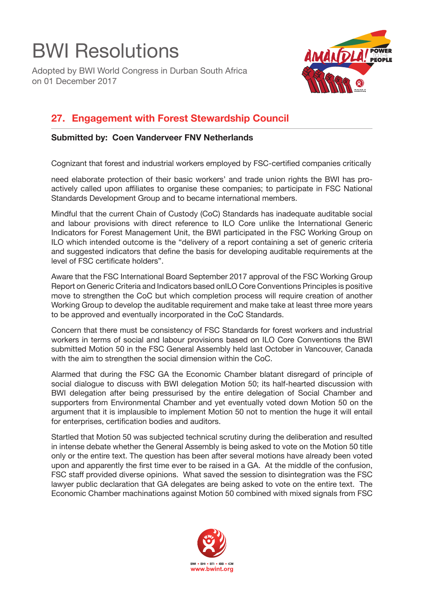## BWI Resolutions

Adopted by BWI World Congress in Durban South Africa on 01 December 2017



## **27. Engagement with Forest Stewardship Council**

## **Submitted by: Coen Vanderveer FNV Netherlands**

Cognizant that forest and industrial workers employed by FSC-certified companies critically

need elaborate protection of their basic workers' and trade union rights the BWI has proactively called upon affiliates to organise these companies; to participate in FSC National Standards Development Group and to became international members.

Mindful that the current Chain of Custody (CoC) Standards has inadequate auditable social and labour provisions with direct reference to ILO Core unlike the International Generic Indicators for Forest Management Unit, the BWI participated in the FSC Working Group on ILO which intended outcome is the "delivery of a report containing a set of generic criteria and suggested indicators that define the basis for developing auditable requirements at the level of FSC certificate holders".

Aware that the FSC International Board September 2017 approval of the FSC Working Group Report on Generic Criteria and Indicators based on
ILO Core Conventions Principles is positive move to strengthen the CoC but which completion process will require creation of another Working Group to develop the auditable requirement and make take at least three more years to be approved and eventually incorporated in the CoC Standards.

Concern that there must be consistency of FSC Standards for forest workers and industrial workers in terms of social and labour provisions based on ILO Core Conventions the BWI submitted Motion 50 in the FSC General Assembly held last October in Vancouver, Canada with the aim to strengthen the social dimension within the CoC.

Alarmed that during the FSC GA the Economic Chamber blatant disregard of principle of social dialogue to discuss with BWI delegation Motion 50; its half-hearted discussion with BWI delegation after being pressurised by the entire delegation of Social Chamber and supporters from Environmental Chamber and yet eventually voted down Motion 50 on the argument that it is implausible to implement Motion 50 not to mention the huge it will entail for enterprises, certification bodies and auditors.

Startled that Motion 50 was subjected technical scrutiny during the deliberation and resulted in intense debate whether the General Assembly is being asked to vote on the Motion 50 title only or the entire text. The question has been after several motions have already been voted upon and apparently the first time ever to be raised in a GA. At the middle of the confusion, FSC staff provided diverse opinions. What saved the session to disintegration was the FSC lawyer public declaration that GA delegates are being asked to vote on the entire text. The Economic Chamber machinations against Motion 50 combined with mixed signals from FSC